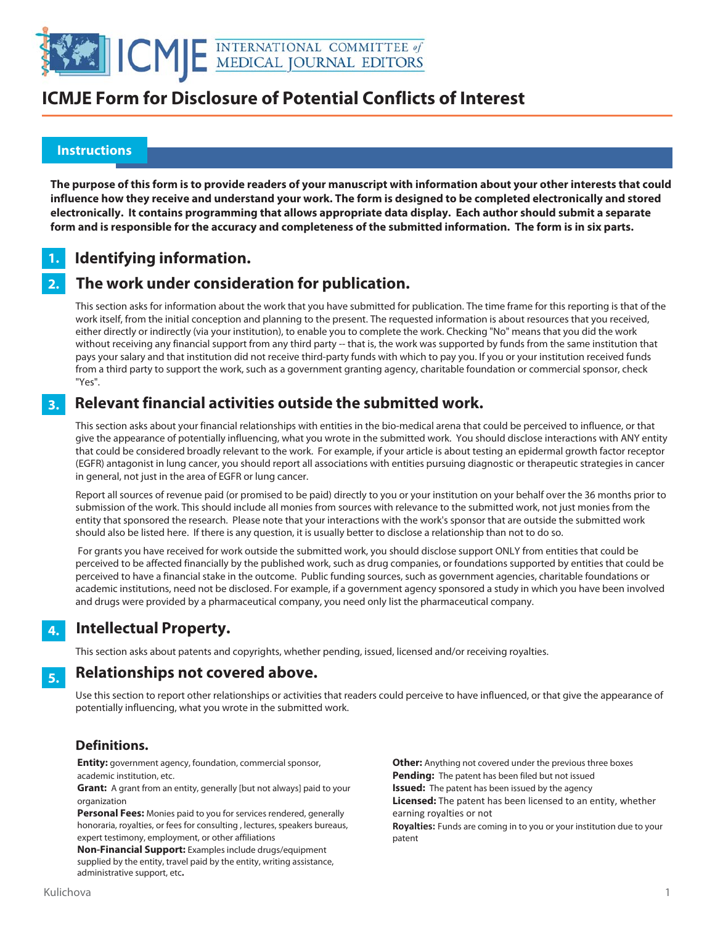

### **Instructions**

 

> **The purpose of this form is to provide readers of your manuscript with information about your other interests that could influence how they receive and understand your work. The form is designed to be completed electronically and stored electronically. It contains programming that allows appropriate data display. Each author should submit a separate form and is responsible for the accuracy and completeness of the submitted information. The form is in six parts.**

#### **Identifying information. 1.**

#### **The work under consideration for publication. 2.**

This section asks for information about the work that you have submitted for publication. The time frame for this reporting is that of the work itself, from the initial conception and planning to the present. The requested information is about resources that you received, either directly or indirectly (via your institution), to enable you to complete the work. Checking "No" means that you did the work without receiving any financial support from any third party -- that is, the work was supported by funds from the same institution that pays your salary and that institution did not receive third-party funds with which to pay you. If you or your institution received funds from a third party to support the work, such as a government granting agency, charitable foundation or commercial sponsor, check "Yes".

#### **Relevant financial activities outside the submitted work. 3.**

This section asks about your financial relationships with entities in the bio-medical arena that could be perceived to influence, or that give the appearance of potentially influencing, what you wrote in the submitted work. You should disclose interactions with ANY entity that could be considered broadly relevant to the work. For example, if your article is about testing an epidermal growth factor receptor (EGFR) antagonist in lung cancer, you should report all associations with entities pursuing diagnostic or therapeutic strategies in cancer in general, not just in the area of EGFR or lung cancer.

Report all sources of revenue paid (or promised to be paid) directly to you or your institution on your behalf over the 36 months prior to submission of the work. This should include all monies from sources with relevance to the submitted work, not just monies from the entity that sponsored the research. Please note that your interactions with the work's sponsor that are outside the submitted work should also be listed here. If there is any question, it is usually better to disclose a relationship than not to do so.

 For grants you have received for work outside the submitted work, you should disclose support ONLY from entities that could be perceived to be affected financially by the published work, such as drug companies, or foundations supported by entities that could be perceived to have a financial stake in the outcome. Public funding sources, such as government agencies, charitable foundations or academic institutions, need not be disclosed. For example, if a government agency sponsored a study in which you have been involved and drugs were provided by a pharmaceutical company, you need only list the pharmaceutical company.

#### **Intellectual Property. 4.**

This section asks about patents and copyrights, whether pending, issued, licensed and/or receiving royalties.

#### **Relationships not covered above. 5.**

Use this section to report other relationships or activities that readers could perceive to have influenced, or that give the appearance of potentially influencing, what you wrote in the submitted work.

### **Definitions.**

**Entity:** government agency, foundation, commercial sponsor, academic institution, etc.

**Grant:** A grant from an entity, generally [but not always] paid to your organization

**Personal Fees:** Monies paid to you for services rendered, generally honoraria, royalties, or fees for consulting , lectures, speakers bureaus, expert testimony, employment, or other affiliations

**Non-Financial Support:** Examples include drugs/equipment supplied by the entity, travel paid by the entity, writing assistance, administrative support, etc**.**

**Other:** Anything not covered under the previous three boxes **Pending:** The patent has been filed but not issued **Issued:** The patent has been issued by the agency **Licensed:** The patent has been licensed to an entity, whether earning royalties or not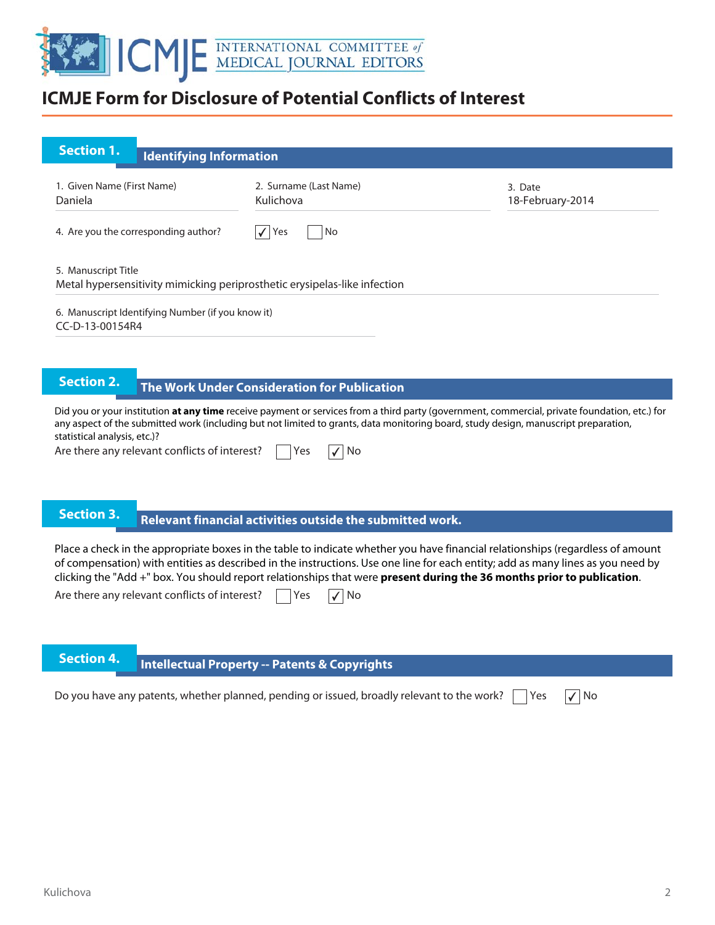

| <b>Section 1.</b><br><b>Identifying Information</b>                                              |                                     |                             |
|--------------------------------------------------------------------------------------------------|-------------------------------------|-----------------------------|
| 1. Given Name (First Name)<br>Daniela                                                            | 2. Surname (Last Name)<br>Kulichova | 3. Date<br>18-February-2014 |
| 4. Are you the corresponding author?                                                             | $\sqrt{ \gamma_{es}}$<br>No         |                             |
| 5. Manuscript Title<br>Metal hypersensitivity mimicking periprosthetic erysipelas-like infection |                                     |                             |
| 6. Manuscript Identifying Number (if you know it)<br>CC-D-13-00154R4                             |                                     |                             |

**The Work Under Consideration for Publication** 

Did you or your institution **at any time** receive payment or services from a third party (government, commercial, private foundation, etc.) for any aspect of the submitted work (including but not limited to grants, data monitoring board, study design, manuscript preparation, statistical analysis, etc.)?

Are there any relevant conflicts of interest?  $\Box$  Yes  $\Box$  No

# **Relevant financial activities outside the submitted work. Section 3. Relevant financial activities outset**

Place a check in the appropriate boxes in the table to indicate whether you have financial relationships (regardless of amount of compensation) with entities as described in the instructions. Use one line for each entity; add as many lines as you need by clicking the "Add +" box. You should report relationships that were **present during the 36 months prior to publication**.

Are there any relevant conflicts of interest?  $\Box$  Yes  $\Box$  No

# **Intellectual Property -- Patents & Copyrights**

Do you have any patents, whether planned, pending or issued, broadly relevant to the work?  $\vert \ \vert$  Yes  $\vert \sqrt{\vert N}$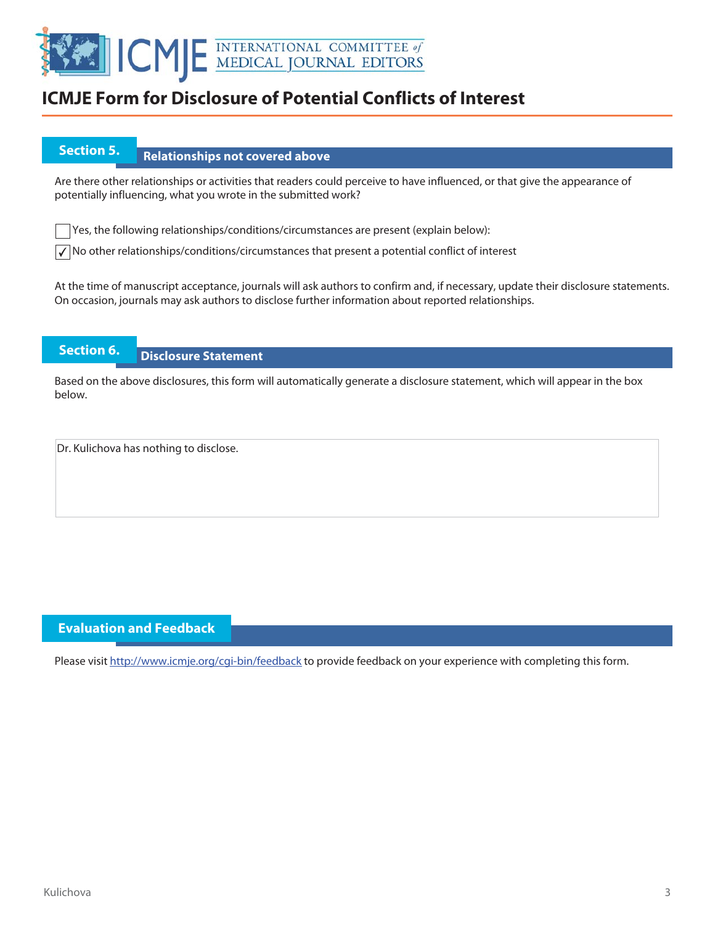

## **Section 5.** Relationships not covered above

Are there other relationships or activities that readers could perceive to have influenced, or that give the appearance of potentially influencing, what you wrote in the submitted work?

Yes, the following relationships/conditions/circumstances are present (explain below):

 $\sqrt{\ }$  No other relationships/conditions/circumstances that present a potential conflict of interest

At the time of manuscript acceptance, journals will ask authors to confirm and, if necessary, update their disclosure statements. On occasion, journals may ask authors to disclose further information about reported relationships.

### **Section 6. Disclosure Statement**

Based on the above disclosures, this form will automatically generate a disclosure statement, which will appear in the box below.

Dr. Kulichova has nothing to disclose.

### **Evaluation and Feedback**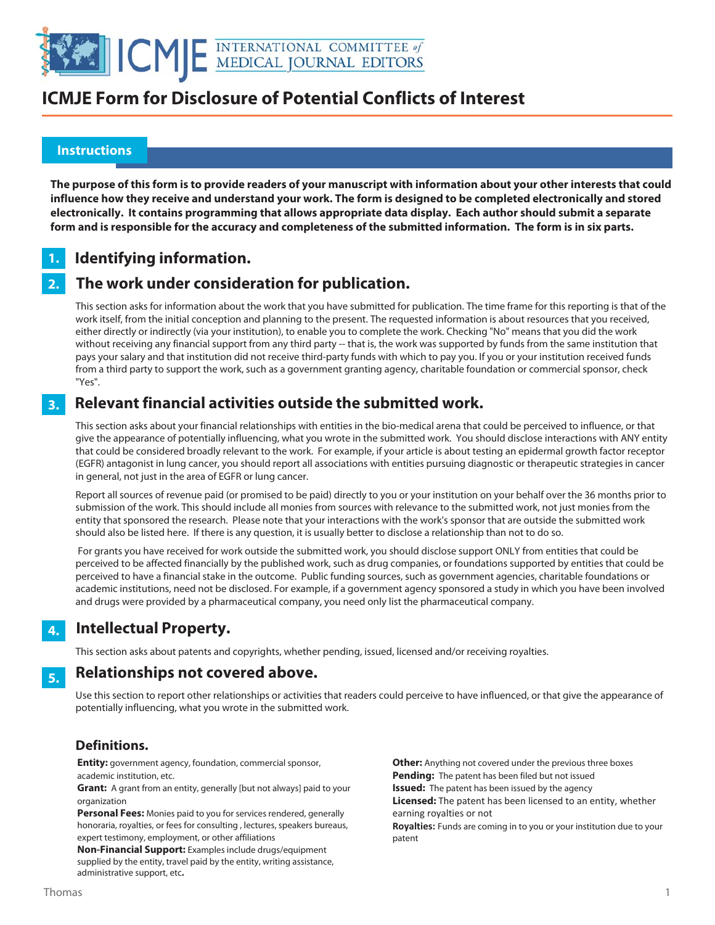

### **Instructions**

 

> **The purpose of this form is to provide readers of your manuscript with information about your other interests that could influence how they receive and understand your work. The form is designed to be completed electronically and stored electronically. It contains programming that allows appropriate data display. Each author should submit a separate form and is responsible for the accuracy and completeness of the submitted information. The form is in six parts.**

#### **Identifying information. 1.**

#### **The work under consideration for publication. 2.**

This section asks for information about the work that you have submitted for publication. The time frame for this reporting is that of the work itself, from the initial conception and planning to the present. The requested information is about resources that you received, either directly or indirectly (via your institution), to enable you to complete the work. Checking "No" means that you did the work without receiving any financial support from any third party -- that is, the work was supported by funds from the same institution that pays your salary and that institution did not receive third-party funds with which to pay you. If you or your institution received funds from a third party to support the work, such as a government granting agency, charitable foundation or commercial sponsor, check "Yes".

#### **Relevant financial activities outside the submitted work. 3.**

This section asks about your financial relationships with entities in the bio-medical arena that could be perceived to influence, or that give the appearance of potentially influencing, what you wrote in the submitted work. You should disclose interactions with ANY entity that could be considered broadly relevant to the work. For example, if your article is about testing an epidermal growth factor receptor (EGFR) antagonist in lung cancer, you should report all associations with entities pursuing diagnostic or therapeutic strategies in cancer in general, not just in the area of EGFR or lung cancer.

Report all sources of revenue paid (or promised to be paid) directly to you or your institution on your behalf over the 36 months prior to submission of the work. This should include all monies from sources with relevance to the submitted work, not just monies from the entity that sponsored the research. Please note that your interactions with the work's sponsor that are outside the submitted work should also be listed here. If there is any question, it is usually better to disclose a relationship than not to do so.

 For grants you have received for work outside the submitted work, you should disclose support ONLY from entities that could be perceived to be affected financially by the published work, such as drug companies, or foundations supported by entities that could be perceived to have a financial stake in the outcome. Public funding sources, such as government agencies, charitable foundations or academic institutions, need not be disclosed. For example, if a government agency sponsored a study in which you have been involved and drugs were provided by a pharmaceutical company, you need only list the pharmaceutical company.

#### **Intellectual Property. 4.**

This section asks about patents and copyrights, whether pending, issued, licensed and/or receiving royalties.

#### **Relationships not covered above. 5.**

Use this section to report other relationships or activities that readers could perceive to have influenced, or that give the appearance of potentially influencing, what you wrote in the submitted work.

### **Definitions.**

**Entity:** government agency, foundation, commercial sponsor, academic institution, etc.

**Grant:** A grant from an entity, generally [but not always] paid to your organization

**Personal Fees:** Monies paid to you for services rendered, generally honoraria, royalties, or fees for consulting , lectures, speakers bureaus, expert testimony, employment, or other affiliations

**Non-Financial Support:** Examples include drugs/equipment supplied by the entity, travel paid by the entity, writing assistance, administrative support, etc**.**

**Other:** Anything not covered under the previous three boxes **Pending:** The patent has been filed but not issued **Issued:** The patent has been issued by the agency **Licensed:** The patent has been licensed to an entity, whether earning royalties or not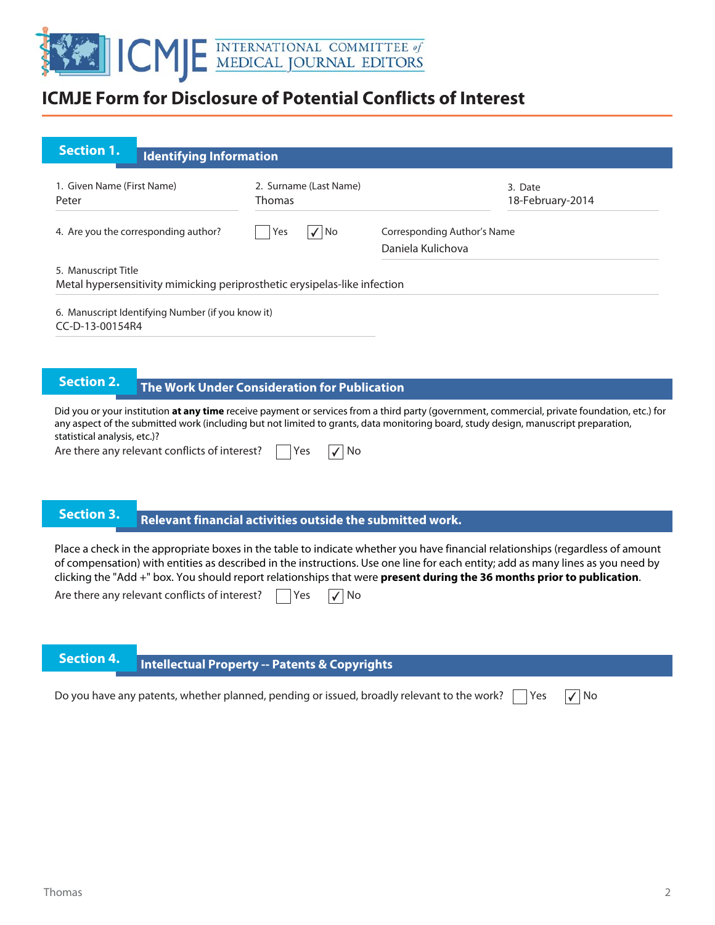

| <b>Section 1.</b>                   | <b>Identifying Information</b>                    |                                                                           |                                                  |                             |
|-------------------------------------|---------------------------------------------------|---------------------------------------------------------------------------|--------------------------------------------------|-----------------------------|
| 1. Given Name (First Name)<br>Peter |                                                   | 2. Surname (Last Name)<br><b>Thomas</b>                                   |                                                  | 3. Date<br>18-February-2014 |
|                                     | 4. Are you the corresponding author?              | Yes<br>$\sqrt{ NQ}$                                                       | Corresponding Author's Name<br>Daniela Kulichova |                             |
| 5. Manuscript Title                 |                                                   | Metal hypersensitivity mimicking periprosthetic erysipelas-like infection |                                                  |                             |
| CC-D-13-00154R4                     | 6. Manuscript Identifying Number (if you know it) |                                                                           |                                                  |                             |

## **The Work Under Consideration for Publication**

Did you or your institution **at any time** receive payment or services from a third party (government, commercial, private foundation, etc.) for any aspect of the submitted work (including but not limited to grants, data monitoring board, study design, manuscript preparation, statistical analysis, etc.)?

Are there any relevant conflicts of interest?  $\Box$  Yes  $\Box$  N

|  | ۰.<br>., |  |
|--|----------|--|
|  |          |  |

# **Relevant financial activities outside the submitted work. Section 3. Relevant financial activities outset**

Place a check in the appropriate boxes in the table to indicate whether you have financial relationships (regardless of amount of compensation) with entities as described in the instructions. Use one line for each entity; add as many lines as you need by clicking the "Add +" box. You should report relationships that were **present during the 36 months prior to publication**.

Are there any relevant conflicts of interest?  $\Box$  Yes  $\Box$  No

# **Intellectual Property -- Patents & Copyrights**

Do you have any patents, whether planned, pending or issued, broadly relevant to the work?  $\vert \ \vert$  Yes  $\vert \sqrt{\vert N}$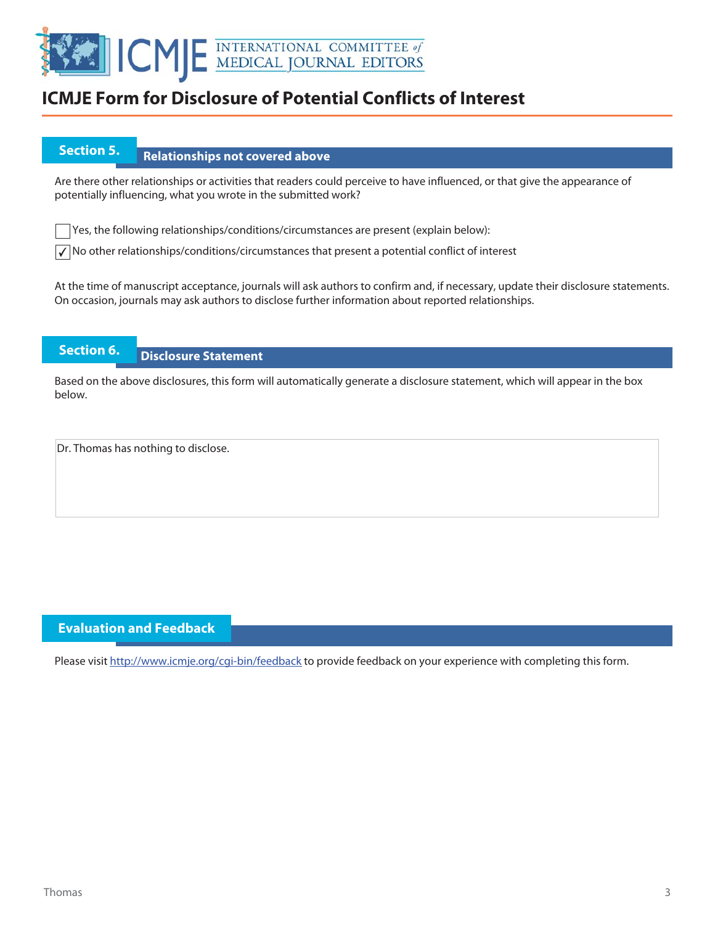

## **Section 5.** Relationships not covered above

Are there other relationships or activities that readers could perceive to have influenced, or that give the appearance of potentially influencing, what you wrote in the submitted work?

Yes, the following relationships/conditions/circumstances are present (explain below):

 $\sqrt{\ }$  No other relationships/conditions/circumstances that present a potential conflict of interest

At the time of manuscript acceptance, journals will ask authors to confirm and, if necessary, update their disclosure statements. On occasion, journals may ask authors to disclose further information about reported relationships.

### **Section 6. Disclosure Statement**

Based on the above disclosures, this form will automatically generate a disclosure statement, which will appear in the box below.

Dr. Thomas has nothing to disclose.

### **Evaluation and Feedback**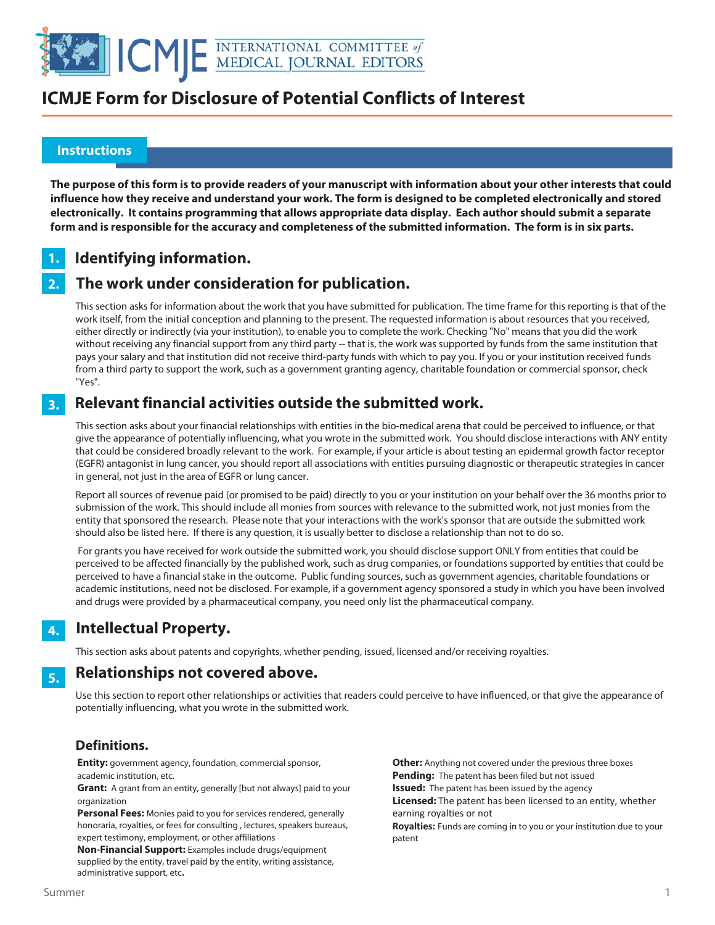

### **Instructions**

 

> **The purpose of this form is to provide readers of your manuscript with information about your other interests that could influence how they receive and understand your work. The form is designed to be completed electronically and stored electronically. It contains programming that allows appropriate data display. Each author should submit a separate form and is responsible for the accuracy and completeness of the submitted information. The form is in six parts.**

#### **Identifying information. 1.**

#### **The work under consideration for publication. 2.**

This section asks for information about the work that you have submitted for publication. The time frame for this reporting is that of the work itself, from the initial conception and planning to the present. The requested information is about resources that you received, either directly or indirectly (via your institution), to enable you to complete the work. Checking "No" means that you did the work without receiving any financial support from any third party -- that is, the work was supported by funds from the same institution that pays your salary and that institution did not receive third-party funds with which to pay you. If you or your institution received funds from a third party to support the work, such as a government granting agency, charitable foundation or commercial sponsor, check "Yes".

#### **Relevant financial activities outside the submitted work. 3.**

This section asks about your financial relationships with entities in the bio-medical arena that could be perceived to influence, or that give the appearance of potentially influencing, what you wrote in the submitted work. You should disclose interactions with ANY entity that could be considered broadly relevant to the work. For example, if your article is about testing an epidermal growth factor receptor (EGFR) antagonist in lung cancer, you should report all associations with entities pursuing diagnostic or therapeutic strategies in cancer in general, not just in the area of EGFR or lung cancer.

Report all sources of revenue paid (or promised to be paid) directly to you or your institution on your behalf over the 36 months prior to submission of the work. This should include all monies from sources with relevance to the submitted work, not just monies from the entity that sponsored the research. Please note that your interactions with the work's sponsor that are outside the submitted work should also be listed here. If there is any question, it is usually better to disclose a relationship than not to do so.

 For grants you have received for work outside the submitted work, you should disclose support ONLY from entities that could be perceived to be affected financially by the published work, such as drug companies, or foundations supported by entities that could be perceived to have a financial stake in the outcome. Public funding sources, such as government agencies, charitable foundations or academic institutions, need not be disclosed. For example, if a government agency sponsored a study in which you have been involved and drugs were provided by a pharmaceutical company, you need only list the pharmaceutical company.

#### **Intellectual Property. 4.**

This section asks about patents and copyrights, whether pending, issued, licensed and/or receiving royalties.

#### **Relationships not covered above. 5.**

Use this section to report other relationships or activities that readers could perceive to have influenced, or that give the appearance of potentially influencing, what you wrote in the submitted work.

### **Definitions.**

**Entity:** government agency, foundation, commercial sponsor, academic institution, etc.

**Grant:** A grant from an entity, generally [but not always] paid to your organization

**Personal Fees:** Monies paid to you for services rendered, generally honoraria, royalties, or fees for consulting , lectures, speakers bureaus, expert testimony, employment, or other affiliations

**Non-Financial Support:** Examples include drugs/equipment supplied by the entity, travel paid by the entity, writing assistance, administrative support, etc**.**

**Other:** Anything not covered under the previous three boxes **Pending:** The patent has been filed but not issued **Issued:** The patent has been issued by the agency **Licensed:** The patent has been licensed to an entity, whether earning royalties or not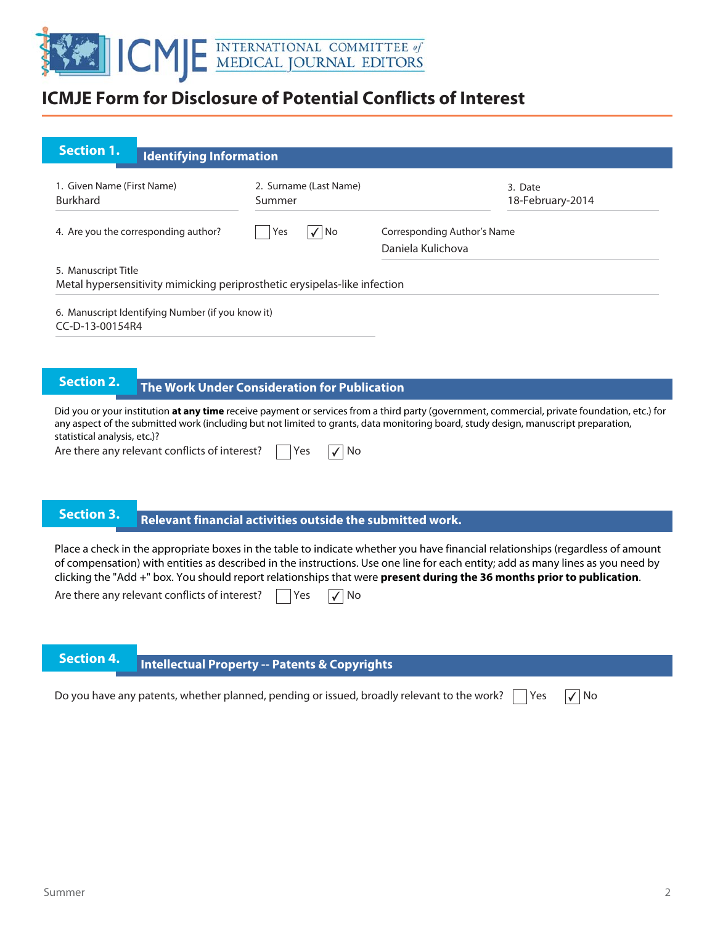

| Section 1.<br><b>Identifying Information</b>                                                     |                                  |                                                  |                  |
|--------------------------------------------------------------------------------------------------|----------------------------------|--------------------------------------------------|------------------|
| 1. Given Name (First Name)<br><b>Burkhard</b>                                                    | 2. Surname (Last Name)<br>Summer | 3. Date                                          | 18-February-2014 |
| 4. Are you the corresponding author?                                                             | $\sqrt{ N_{0}}$<br>Yes           | Corresponding Author's Name<br>Daniela Kulichova |                  |
| 5. Manuscript Title<br>Metal hypersensitivity mimicking periprosthetic erysipelas-like infection |                                  |                                                  |                  |
| 6. Manuscript Identifying Number (if you know it)<br>CC-D-13-00154R4                             |                                  |                                                  |                  |

### **The Work Under Consideration for Publication**

Did you or your institution **at any time** receive payment or services from a third party (government, commercial, private foundation, etc.) for any aspect of the submitted work (including but not limited to grants, data monitoring board, study design, manuscript preparation, statistical analysis, etc.)?

| Are there any relevant conflicts of interest? |  | <b>Yes</b> |  | $\sqrt{ }$ No |
|-----------------------------------------------|--|------------|--|---------------|
|-----------------------------------------------|--|------------|--|---------------|

# **Relevant financial activities outside the submitted work. Section 3. Relevant financial activities outset**

Place a check in the appropriate boxes in the table to indicate whether you have financial relationships (regardless of amount of compensation) with entities as described in the instructions. Use one line for each entity; add as many lines as you need by clicking the "Add +" box. You should report relationships that were **present during the 36 months prior to publication**.

| Are there any relevant conflicts of interest? | <b>Yes</b> | $\sqrt{}$ No |
|-----------------------------------------------|------------|--------------|
|                                               |            |              |

# **Intellectual Property -- Patents & Copyrights**

|  |  | Do you have any patents, whether planned, pending or issued, broadly relevant to the work? $\Box$ Yes $\Box$ No |  |  |
|--|--|-----------------------------------------------------------------------------------------------------------------|--|--|
|  |  |                                                                                                                 |  |  |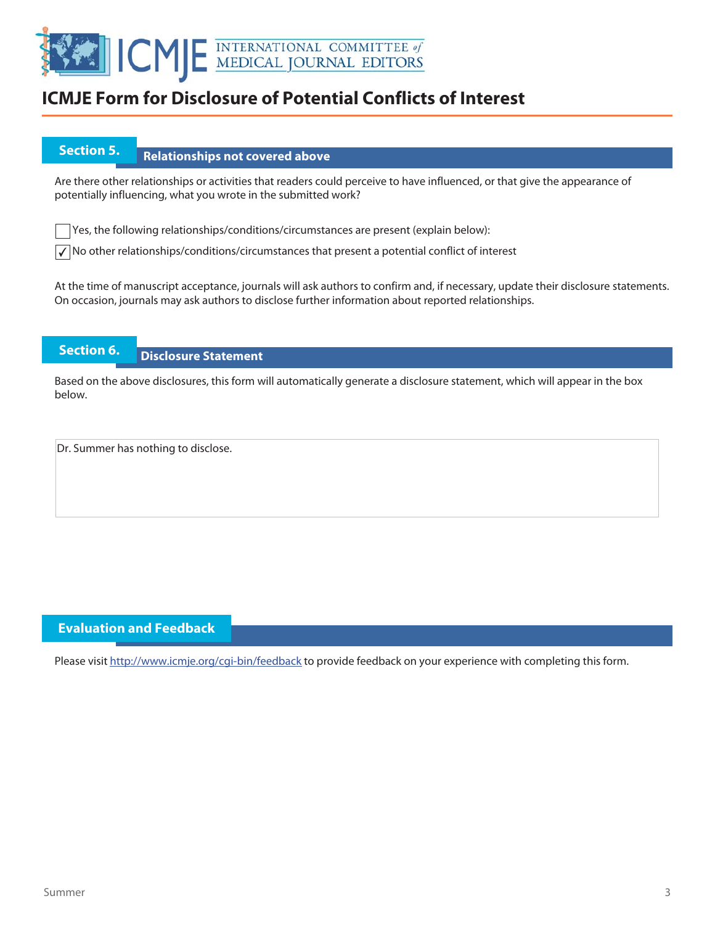

## **Section 5.** Relationships not covered above

Are there other relationships or activities that readers could perceive to have influenced, or that give the appearance of potentially influencing, what you wrote in the submitted work?

Yes, the following relationships/conditions/circumstances are present (explain below):

 $\sqrt{\ }$  No other relationships/conditions/circumstances that present a potential conflict of interest

At the time of manuscript acceptance, journals will ask authors to confirm and, if necessary, update their disclosure statements. On occasion, journals may ask authors to disclose further information about reported relationships.

### **Section 6. Disclosure Statement**

Based on the above disclosures, this form will automatically generate a disclosure statement, which will appear in the box below.

Dr. Summer has nothing to disclose.

### **Evaluation and Feedback**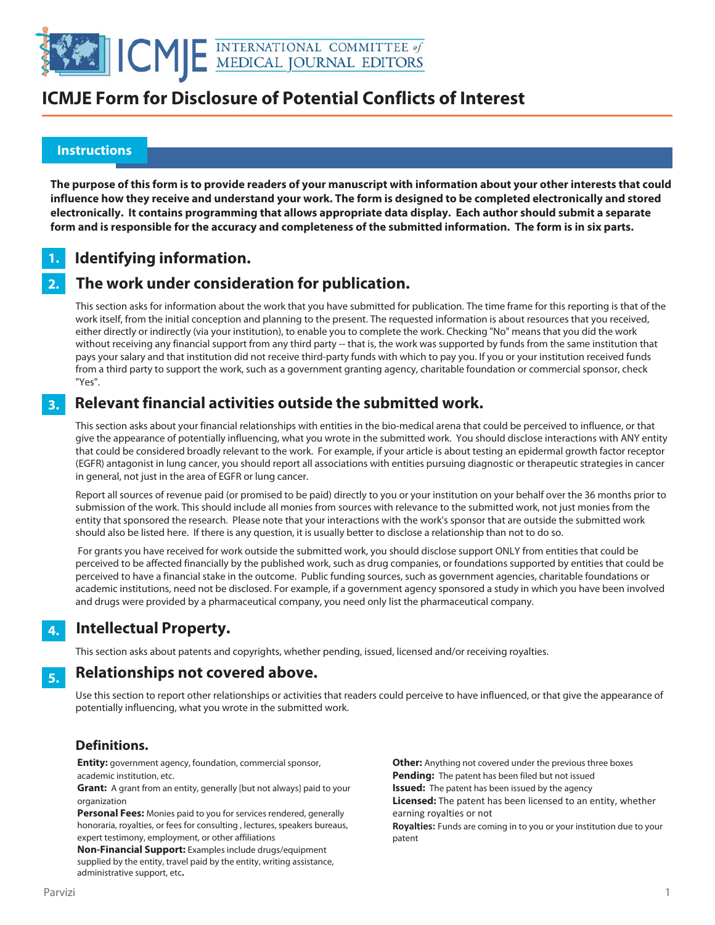

### **Instructions**

 

> **The purpose of this form is to provide readers of your manuscript with information about your other interests that could influence how they receive and understand your work. The form is designed to be completed electronically and stored electronically. It contains programming that allows appropriate data display. Each author should submit a separate form and is responsible for the accuracy and completeness of the submitted information. The form is in six parts.**

#### **Identifying information. 1.**

#### **The work under consideration for publication. 2.**

This section asks for information about the work that you have submitted for publication. The time frame for this reporting is that of the work itself, from the initial conception and planning to the present. The requested information is about resources that you received, either directly or indirectly (via your institution), to enable you to complete the work. Checking "No" means that you did the work without receiving any financial support from any third party -- that is, the work was supported by funds from the same institution that pays your salary and that institution did not receive third-party funds with which to pay you. If you or your institution received funds from a third party to support the work, such as a government granting agency, charitable foundation or commercial sponsor, check "Yes".

#### **Relevant financial activities outside the submitted work. 3.**

This section asks about your financial relationships with entities in the bio-medical arena that could be perceived to influence, or that give the appearance of potentially influencing, what you wrote in the submitted work. You should disclose interactions with ANY entity that could be considered broadly relevant to the work. For example, if your article is about testing an epidermal growth factor receptor (EGFR) antagonist in lung cancer, you should report all associations with entities pursuing diagnostic or therapeutic strategies in cancer in general, not just in the area of EGFR or lung cancer.

Report all sources of revenue paid (or promised to be paid) directly to you or your institution on your behalf over the 36 months prior to submission of the work. This should include all monies from sources with relevance to the submitted work, not just monies from the entity that sponsored the research. Please note that your interactions with the work's sponsor that are outside the submitted work should also be listed here. If there is any question, it is usually better to disclose a relationship than not to do so.

 For grants you have received for work outside the submitted work, you should disclose support ONLY from entities that could be perceived to be affected financially by the published work, such as drug companies, or foundations supported by entities that could be perceived to have a financial stake in the outcome. Public funding sources, such as government agencies, charitable foundations or academic institutions, need not be disclosed. For example, if a government agency sponsored a study in which you have been involved and drugs were provided by a pharmaceutical company, you need only list the pharmaceutical company.

#### **Intellectual Property. 4.**

This section asks about patents and copyrights, whether pending, issued, licensed and/or receiving royalties.

#### **Relationships not covered above. 5.**

Use this section to report other relationships or activities that readers could perceive to have influenced, or that give the appearance of potentially influencing, what you wrote in the submitted work.

### **Definitions.**

**Entity:** government agency, foundation, commercial sponsor, academic institution, etc.

**Grant:** A grant from an entity, generally [but not always] paid to your organization

**Personal Fees:** Monies paid to you for services rendered, generally honoraria, royalties, or fees for consulting , lectures, speakers bureaus, expert testimony, employment, or other affiliations

**Non-Financial Support:** Examples include drugs/equipment supplied by the entity, travel paid by the entity, writing assistance, administrative support, etc**.**

**Other:** Anything not covered under the previous three boxes **Pending:** The patent has been filed but not issued **Issued:** The patent has been issued by the agency **Licensed:** The patent has been licensed to an entity, whether earning royalties or not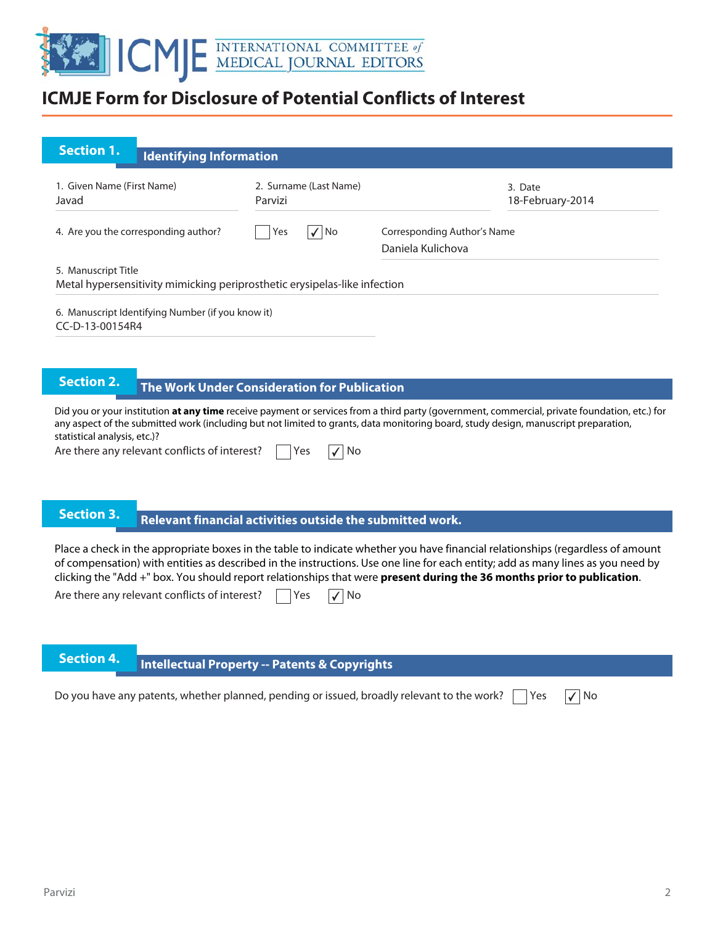

| <b>Section 1.</b>                   | <b>Identifying Information</b>                    |                                                                           |                                                  |
|-------------------------------------|---------------------------------------------------|---------------------------------------------------------------------------|--------------------------------------------------|
| 1. Given Name (First Name)<br>Javad |                                                   | 2. Surname (Last Name)<br>Parvizi                                         | 3. Date<br>18-February-2014                      |
|                                     | 4. Are you the corresponding author?              | Yes<br>$\sqrt{ N_{0} }$                                                   | Corresponding Author's Name<br>Daniela Kulichova |
| 5. Manuscript Title                 |                                                   | Metal hypersensitivity mimicking periprosthetic erysipelas-like infection |                                                  |
| CC-D-13-00154R4                     | 6. Manuscript Identifying Number (if you know it) |                                                                           |                                                  |

## **The Work Under Consideration for Publication**

Did you or your institution **at any time** receive payment or services from a third party (government, commercial, private foundation, etc.) for any aspect of the submitted work (including but not limited to grants, data monitoring board, study design, manuscript preparation, statistical analysis, etc.)?

| Are there any relevant conflicts of interest? |  | <b>Yes</b> |  | $\sqrt{ }$ No |
|-----------------------------------------------|--|------------|--|---------------|
|-----------------------------------------------|--|------------|--|---------------|

# **Relevant financial activities outside the submitted work. Section 3. Relevant financial activities outset**

Place a check in the appropriate boxes in the table to indicate whether you have financial relationships (regardless of amount of compensation) with entities as described in the instructions. Use one line for each entity; add as many lines as you need by clicking the "Add +" box. You should report relationships that were **present during the 36 months prior to publication**.

|  | Are there any relevant conflicts of interest? |  | Yes |  | $\sqrt{\ }$ No |
|--|-----------------------------------------------|--|-----|--|----------------|
|--|-----------------------------------------------|--|-----|--|----------------|

# **Intellectual Property -- Patents & Copyrights**

| Do you have any patents, whether planned, pending or issued, broadly relevant to the work? $\Box$ Yes $\Box$ No |  |  |  |
|-----------------------------------------------------------------------------------------------------------------|--|--|--|
|-----------------------------------------------------------------------------------------------------------------|--|--|--|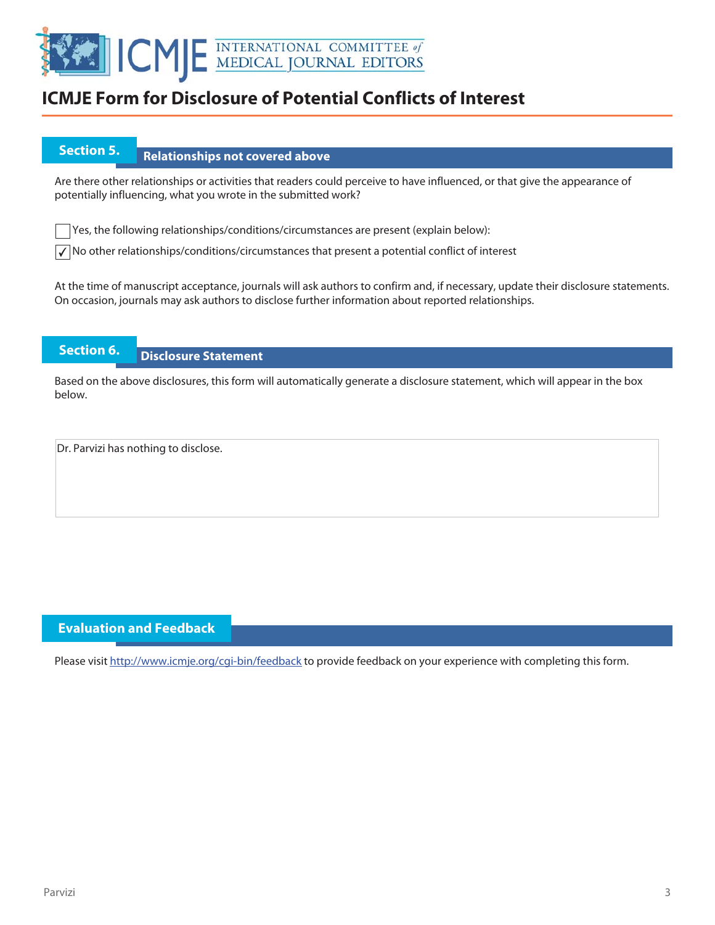

## **Section 5.** Relationships not covered above

Are there other relationships or activities that readers could perceive to have influenced, or that give the appearance of potentially influencing, what you wrote in the submitted work?

Yes, the following relationships/conditions/circumstances are present (explain below):

 $\sqrt{\ }$  No other relationships/conditions/circumstances that present a potential conflict of interest

At the time of manuscript acceptance, journals will ask authors to confirm and, if necessary, update their disclosure statements. On occasion, journals may ask authors to disclose further information about reported relationships.

### **Section 6. Disclosure Statement**

Based on the above disclosures, this form will automatically generate a disclosure statement, which will appear in the box below.

Dr. Parvizi has nothing to disclose.

### **Evaluation and Feedback**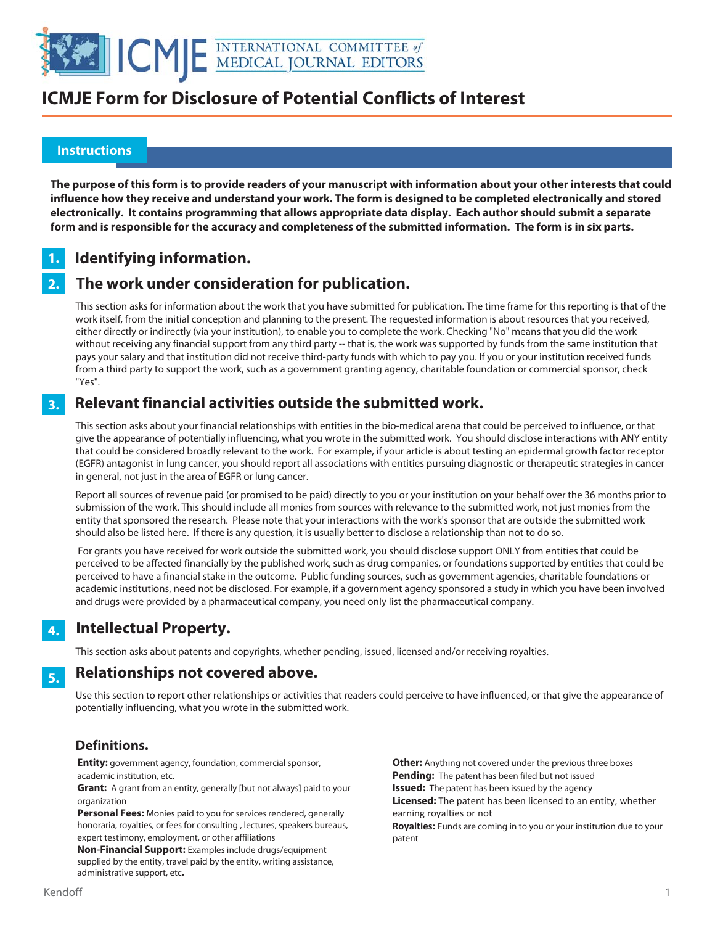

### **Instructions**

 

> **The purpose of this form is to provide readers of your manuscript with information about your other interests that could influence how they receive and understand your work. The form is designed to be completed electronically and stored electronically. It contains programming that allows appropriate data display. Each author should submit a separate form and is responsible for the accuracy and completeness of the submitted information. The form is in six parts.**

#### **Identifying information. 1.**

#### **The work under consideration for publication. 2.**

This section asks for information about the work that you have submitted for publication. The time frame for this reporting is that of the work itself, from the initial conception and planning to the present. The requested information is about resources that you received, either directly or indirectly (via your institution), to enable you to complete the work. Checking "No" means that you did the work without receiving any financial support from any third party -- that is, the work was supported by funds from the same institution that pays your salary and that institution did not receive third-party funds with which to pay you. If you or your institution received funds from a third party to support the work, such as a government granting agency, charitable foundation or commercial sponsor, check "Yes".

#### **Relevant financial activities outside the submitted work. 3.**

This section asks about your financial relationships with entities in the bio-medical arena that could be perceived to influence, or that give the appearance of potentially influencing, what you wrote in the submitted work. You should disclose interactions with ANY entity that could be considered broadly relevant to the work. For example, if your article is about testing an epidermal growth factor receptor (EGFR) antagonist in lung cancer, you should report all associations with entities pursuing diagnostic or therapeutic strategies in cancer in general, not just in the area of EGFR or lung cancer.

Report all sources of revenue paid (or promised to be paid) directly to you or your institution on your behalf over the 36 months prior to submission of the work. This should include all monies from sources with relevance to the submitted work, not just monies from the entity that sponsored the research. Please note that your interactions with the work's sponsor that are outside the submitted work should also be listed here. If there is any question, it is usually better to disclose a relationship than not to do so.

 For grants you have received for work outside the submitted work, you should disclose support ONLY from entities that could be perceived to be affected financially by the published work, such as drug companies, or foundations supported by entities that could be perceived to have a financial stake in the outcome. Public funding sources, such as government agencies, charitable foundations or academic institutions, need not be disclosed. For example, if a government agency sponsored a study in which you have been involved and drugs were provided by a pharmaceutical company, you need only list the pharmaceutical company.

#### **Intellectual Property. 4.**

This section asks about patents and copyrights, whether pending, issued, licensed and/or receiving royalties.

#### **Relationships not covered above. 5.**

Use this section to report other relationships or activities that readers could perceive to have influenced, or that give the appearance of potentially influencing, what you wrote in the submitted work.

### **Definitions.**

**Entity:** government agency, foundation, commercial sponsor, academic institution, etc.

**Grant:** A grant from an entity, generally [but not always] paid to your organization

**Personal Fees:** Monies paid to you for services rendered, generally honoraria, royalties, or fees for consulting , lectures, speakers bureaus, expert testimony, employment, or other affiliations

**Non-Financial Support:** Examples include drugs/equipment supplied by the entity, travel paid by the entity, writing assistance, administrative support, etc**.**

**Other:** Anything not covered under the previous three boxes **Pending:** The patent has been filed but not issued **Issued:** The patent has been issued by the agency **Licensed:** The patent has been licensed to an entity, whether earning royalties or not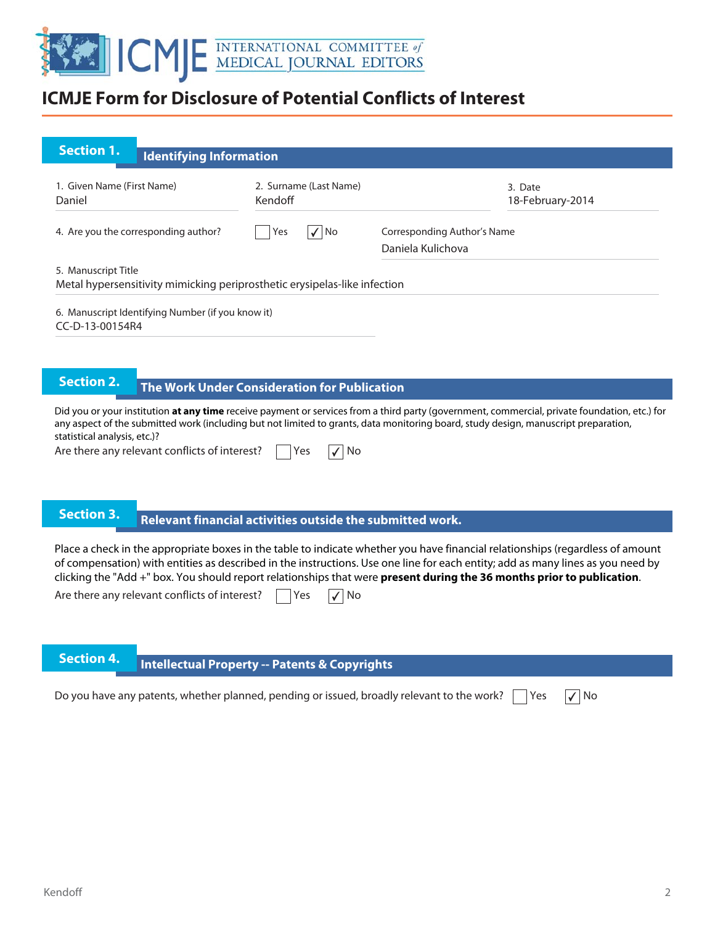

| Section 1.                           | <b>Identifying Information</b>                    |                                                                           |                                                  |  |
|--------------------------------------|---------------------------------------------------|---------------------------------------------------------------------------|--------------------------------------------------|--|
| 1. Given Name (First Name)<br>Daniel |                                                   | 2. Surname (Last Name)<br>Kendoff                                         | 3. Date<br>18-February-2014                      |  |
|                                      | 4. Are you the corresponding author?              | $\sqrt{ N}$<br>Yes                                                        | Corresponding Author's Name<br>Daniela Kulichova |  |
| 5. Manuscript Title                  |                                                   | Metal hypersensitivity mimicking periprosthetic erysipelas-like infection |                                                  |  |
| CC-D-13-00154R4                      | 6. Manuscript Identifying Number (if you know it) |                                                                           |                                                  |  |

**The Work Under Consideration for Publication** 

Did you or your institution **at any time** receive payment or services from a third party (government, commercial, private foundation, etc.) for any aspect of the submitted work (including but not limited to grants, data monitoring board, study design, manuscript preparation, statistical analysis, etc.)?

Are there any relevant conflicts of interest?  $\Box$  Yes  $\Box$  No

## **Relevant financial activities outside the submitted work. Section 3. Relevant financial activities outset**

Place a check in the appropriate boxes in the table to indicate whether you have financial relationships (regardless of amount of compensation) with entities as described in the instructions. Use one line for each entity; add as many lines as you need by clicking the "Add +" box. You should report relationships that were **present during the 36 months prior to publication**.

Are there any relevant conflicts of interest?  $\Box$  Yes  $\Box$  No

## **Intellectual Property -- Patents & Copyrights**

Do you have any patents, whether planned, pending or issued, broadly relevant to the work?  $\vert \ \vert$  Yes  $\vert \sqrt{\vert N}$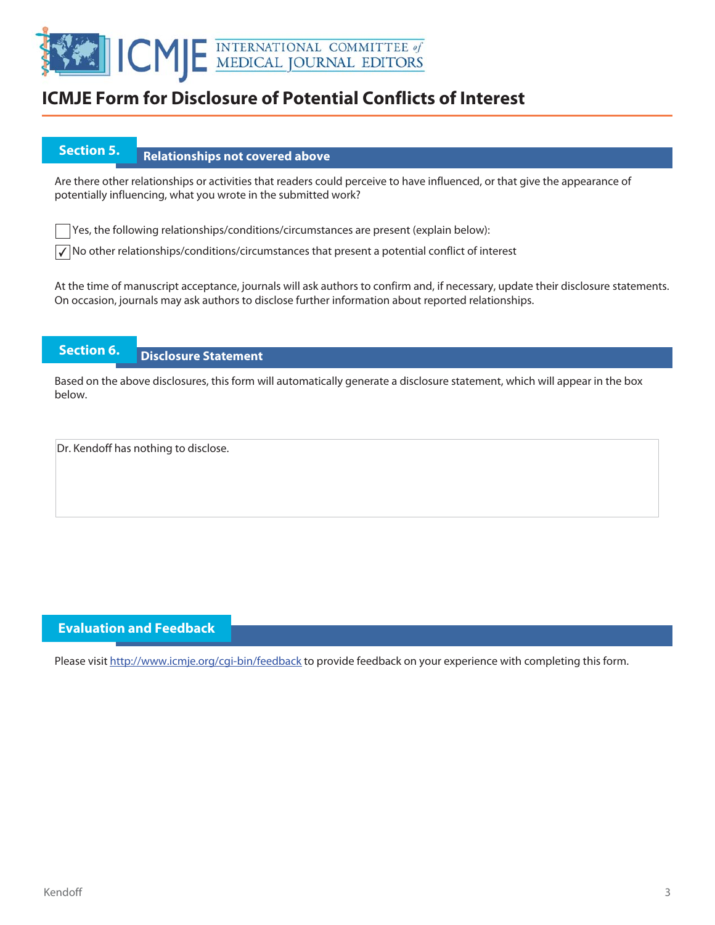

## **Section 5.** Relationships not covered above

Are there other relationships or activities that readers could perceive to have influenced, or that give the appearance of potentially influencing, what you wrote in the submitted work?

Yes, the following relationships/conditions/circumstances are present (explain below):

 $\sqrt{\ }$  No other relationships/conditions/circumstances that present a potential conflict of interest

At the time of manuscript acceptance, journals will ask authors to confirm and, if necessary, update their disclosure statements. On occasion, journals may ask authors to disclose further information about reported relationships.

### **Section 6. Disclosure Statement**

Based on the above disclosures, this form will automatically generate a disclosure statement, which will appear in the box below.

Dr. Kendoff has nothing to disclose.

### **Evaluation and Feedback**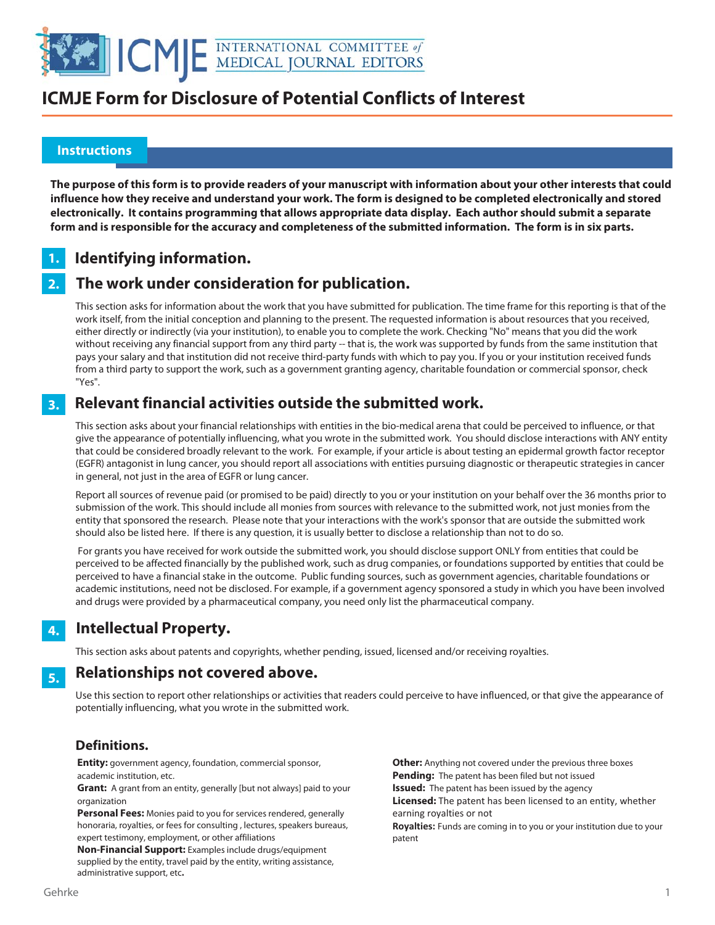

### **Instructions**

 

> **The purpose of this form is to provide readers of your manuscript with information about your other interests that could influence how they receive and understand your work. The form is designed to be completed electronically and stored electronically. It contains programming that allows appropriate data display. Each author should submit a separate form and is responsible for the accuracy and completeness of the submitted information. The form is in six parts.**

#### **Identifying information. 1.**

#### **The work under consideration for publication. 2.**

This section asks for information about the work that you have submitted for publication. The time frame for this reporting is that of the work itself, from the initial conception and planning to the present. The requested information is about resources that you received, either directly or indirectly (via your institution), to enable you to complete the work. Checking "No" means that you did the work without receiving any financial support from any third party -- that is, the work was supported by funds from the same institution that pays your salary and that institution did not receive third-party funds with which to pay you. If you or your institution received funds from a third party to support the work, such as a government granting agency, charitable foundation or commercial sponsor, check "Yes".

#### **Relevant financial activities outside the submitted work. 3.**

This section asks about your financial relationships with entities in the bio-medical arena that could be perceived to influence, or that give the appearance of potentially influencing, what you wrote in the submitted work. You should disclose interactions with ANY entity that could be considered broadly relevant to the work. For example, if your article is about testing an epidermal growth factor receptor (EGFR) antagonist in lung cancer, you should report all associations with entities pursuing diagnostic or therapeutic strategies in cancer in general, not just in the area of EGFR or lung cancer.

Report all sources of revenue paid (or promised to be paid) directly to you or your institution on your behalf over the 36 months prior to submission of the work. This should include all monies from sources with relevance to the submitted work, not just monies from the entity that sponsored the research. Please note that your interactions with the work's sponsor that are outside the submitted work should also be listed here. If there is any question, it is usually better to disclose a relationship than not to do so.

 For grants you have received for work outside the submitted work, you should disclose support ONLY from entities that could be perceived to be affected financially by the published work, such as drug companies, or foundations supported by entities that could be perceived to have a financial stake in the outcome. Public funding sources, such as government agencies, charitable foundations or academic institutions, need not be disclosed. For example, if a government agency sponsored a study in which you have been involved and drugs were provided by a pharmaceutical company, you need only list the pharmaceutical company.

#### **Intellectual Property. 4.**

This section asks about patents and copyrights, whether pending, issued, licensed and/or receiving royalties.

#### **Relationships not covered above. 5.**

Use this section to report other relationships or activities that readers could perceive to have influenced, or that give the appearance of potentially influencing, what you wrote in the submitted work.

### **Definitions.**

**Entity:** government agency, foundation, commercial sponsor, academic institution, etc.

**Grant:** A grant from an entity, generally [but not always] paid to your organization

**Personal Fees:** Monies paid to you for services rendered, generally honoraria, royalties, or fees for consulting , lectures, speakers bureaus, expert testimony, employment, or other affiliations

**Non-Financial Support:** Examples include drugs/equipment supplied by the entity, travel paid by the entity, writing assistance, administrative support, etc**.**

**Other:** Anything not covered under the previous three boxes **Pending:** The patent has been filed but not issued **Issued:** The patent has been issued by the agency **Licensed:** The patent has been licensed to an entity, whether earning royalties or not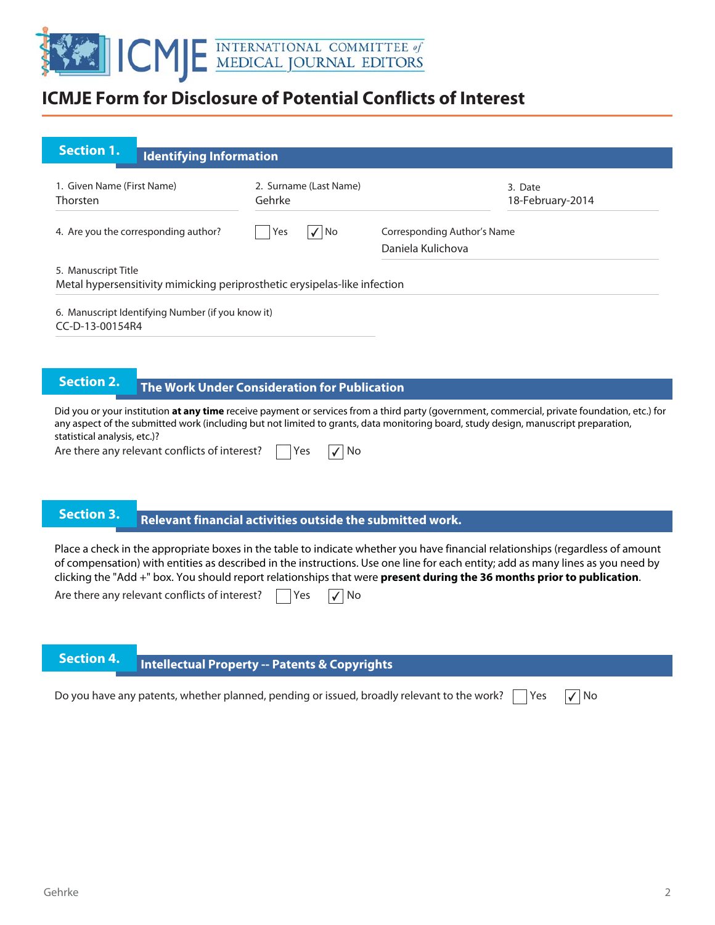

| <b>Section 1.</b>                      | <b>Identifying Information</b>                    |                                                                           |                                                  |                             |
|----------------------------------------|---------------------------------------------------|---------------------------------------------------------------------------|--------------------------------------------------|-----------------------------|
| 1. Given Name (First Name)<br>Thorsten |                                                   | 2. Surname (Last Name)<br>Gehrke                                          |                                                  | 3. Date<br>18-February-2014 |
| 4. Are you the corresponding author?   |                                                   | Yes<br>$\sqrt{ NQ}$                                                       | Corresponding Author's Name<br>Daniela Kulichova |                             |
| 5. Manuscript Title                    |                                                   | Metal hypersensitivity mimicking periprosthetic erysipelas-like infection |                                                  |                             |
| CC-D-13-00154R4                        | 6. Manuscript Identifying Number (if you know it) |                                                                           |                                                  |                             |

## **The Work Under Consideration for Publication**

Did you or your institution **at any time** receive payment or services from a third party (government, commercial, private foundation, etc.) for any aspect of the submitted work (including but not limited to grants, data monitoring board, study design, manuscript preparation, statistical analysis, etc.)?

| Are there any relevant conflicts of interest? |  | <b>Yes</b> |  | $\sqrt{ }$ No |
|-----------------------------------------------|--|------------|--|---------------|
|-----------------------------------------------|--|------------|--|---------------|

# **Relevant financial activities outside the submitted work. Section 3. Relevant financial activities outset**

Place a check in the appropriate boxes in the table to indicate whether you have financial relationships (regardless of amount of compensation) with entities as described in the instructions. Use one line for each entity; add as many lines as you need by clicking the "Add +" box. You should report relationships that were **present during the 36 months prior to publication**.

| Are there any relevant conflicts of interest? | <b>Yes</b> |  | $\sqrt{N}$ |
|-----------------------------------------------|------------|--|------------|
|-----------------------------------------------|------------|--|------------|

# **Intellectual Property -- Patents & Copyrights**

Do you have any patents, whether planned, pending or issued, broadly relevant to the work?  $\Box$  Yes  $\Box$  No